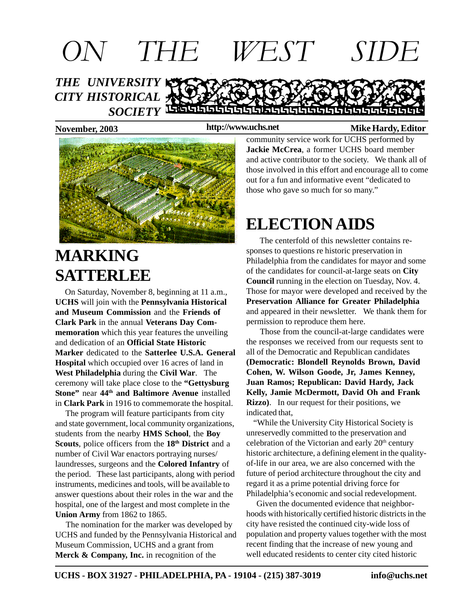

**http://www.uchs.net**

#### November, 2003 *Mike Hardy, Editor* **Mike Hardy, Editor**



# **MARKING SATTERLEE**

 On Saturday, November 8, beginning at 11 a.m., **UCHS** will join with the **Pennsylvania Historical and Museum Commission** and the **Friends of Clark Park** in the annual **Veterans Day Commemoration** which this year features the unveiling and dedication of an **Official State Historic Marker** dedicated to the **Satterlee U.S.A. General Hospital** which occupied over 16 acres of land in **West Philadelphia** during the **Civil War**. The ceremony will take place close to the **"Gettysburg Stone"** near **44th and Baltimore Avenue** installed in **Clark Park** in 1916 to commemorate the hospital.

 The program will feature participants from city and state government, local community organizations, students from the nearby **HMS School**, the **Boy Scouts**, police officers from the **18th District** and a number of Civil War enactors portraying nurses/ laundresses, surgeons and the **Colored Infantry** of the period. These last participants, along with period instruments, medicines and tools, will be available to answer questions about their roles in the war and the hospital, one of the largest and most complete in the **Union Army** from 1862 to 1865.

 The nomination for the marker was developed by UCHS and funded by the Pennsylvania Historical and Museum Commission, UCHS and a grant from **Merck & Company, Inc.** in recognition of the

community service work for UCHS performed by **Jackie McCrea**, a former UCHS board member and active contributor to the society. We thank all of those involved in this effort and encourage all to come out for a fun and informative event "dedicated to those who gave so much for so many."

# **ELECTION AIDS**

The centerfold of this newsletter contains responses to questions re historic preservation in Philadelphia from the candidates for mayor and some of the candidates for council-at-large seats on **City Council** running in the election on Tuesday, Nov. 4. Those for mayor were developed and received by the **Preservation Alliance for Greater Philadelphia** and appeared in their newsletter. We thank them for permission to reproduce them here.

 Those from the council-at-large candidates were the responses we received from our requests sent to all of the Democratic and Republican candidates **(Democratic: Blondell Reynolds Brown, David Cohen, W. Wilson Goode, Jr, James Kenney, Juan Ramos; Republican: David Hardy, Jack Kelly, Jamie McDermott, David Oh and Frank Rizzo)**. In our request for their positions, we indicated that,

 "While the University City Historical Society is unreservedly committed to the preservation and celebration of the Victorian and early 20<sup>th</sup> century historic architecture, a defining element in the qualityof-life in our area, we are also concerned with the future of period architecture throughout the city and regard it as a prime potential driving force for Philadelphia's economic and social redevelopment.

 Given the documented evidence that neighborhoods with historically certified historic districts in the city have resisted the continued city-wide loss of population and property values together with the most recent finding that the increase of new young and well educated residents to center city cited historic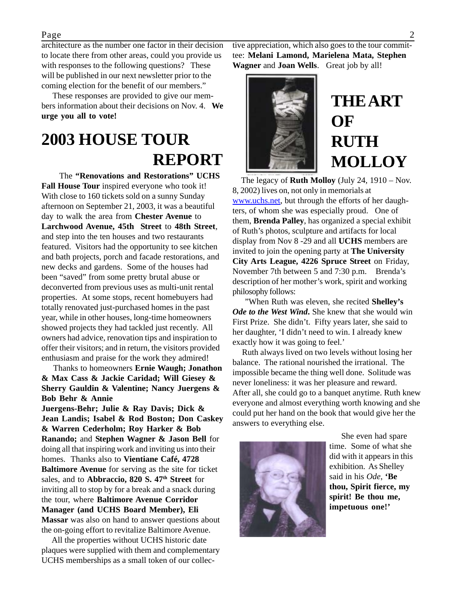architecture as the number one factor in their decision to locate there from other areas, could you provide us with responses to the following questions? These will be published in our next newsletter prior to the coming election for the benefit of our members."

 These responses are provided to give our members information about their decisions on Nov. 4. **We urge you all to vote!**

## **2003 HOUSE TOUR REPORT**

 The **"Renovations and Restorations" UCHS Fall House Tour** inspired everyone who took it! With close to 160 tickets sold on a sunny Sunday afternoon on September 21, 2003, it was a beautiful day to walk the area from **Chester Avenue** to **Larchwood Avenue, 45th Street** to **48th Street**, and step into the ten houses and two restaurants featured. Visitors had the opportunity to see kitchen and bath projects, porch and facade restorations, and new decks and gardens. Some of the houses had been "saved" from some pretty brutal abuse or deconverted from previous uses as multi-unit rental properties. At some stops, recent homebuyers had totally renovated just-purchased homes in the past year, while in other houses, long-time homeowners showed projects they had tackled just recently. All owners had advice, renovation tips and inspiration to offer their visitors; and in return, the visitors provided enthusiasm and praise for the work they admired!

 Thanks to homeowners **Ernie Waugh; Jonathon & Max Cass & Jackie Caridad; Will Giesey & Sherry Gauldin & Valentine; Nancy Juergens & Bob Behr & Annie**

**Juergens-Behr; Julie & Ray Davis; Dick & Jean Landis; Isabel & Rod Boston; Don Caskey & Warren Cederholm; Roy Harker & Bob Ranando;** and **Stephen Wagner & Jason Bell** for doing all that inspiring work and inviting us into their homes. Thanks also to **Vientiane Café, 4728 Baltimore Avenue** for serving as the site for ticket sales, and to **Abbraccio, 820 S. 47<sup>th</sup> Street** for inviting all to stop by for a break and a snack during the tour, where **Baltimore Avenue Corridor Manager (and UCHS Board Member), Eli Massar** was also on hand to answer questions about the on-going effort to revitalize Baltimore Avenue.

 All the properties without UCHS historic date plaques were supplied with them and complementary UCHS memberships as a small token of our collective appreciation, which also goes to the tour committee: **Melani Lamond, Marielena Mata, Stephen Wagner** and **Joan Wells**. Great job by all!



# **THE ART OF RUTH MOLLOY**

 The legacy of **Ruth Molloy** (July 24, 1910 – Nov. 8, 2002) lives on, not only in memorials at www.uchs.net, but through the efforts of her daughters, of whom she was especially proud. One of them, **Brenda Palley**, has organized a special exhibit of Ruth's photos, sculpture and artifacts for local display from Nov 8 -29 and all **UCHS** members are invited to join the opening party at **The University City Arts League, 4226 Spruce Street** on Friday, November 7th between 5 and 7:30 p.m. Brenda's description of her mother's work, spirit and working philosophy follows:

 "When Ruth was eleven, she recited **Shelley's** *Ode to the West Wind***.** She knew that she would win First Prize. She didn't. Fifty years later, she said to her daughter, 'I didn't need to win. I already knew exactly how it was going to feel.'

 Ruth always lived on two levels without losing her balance. The rational nourished the irrational. The impossible became the thing well done. Solitude was never loneliness: it was her pleasure and reward. After all, she could go to a banquet anytime. Ruth knew everyone and almost everything worth knowing and she could put her hand on the book that would give her the answers to everything else.



 She even had spare time. Some of what she did with it appears in this exhibition. As Shelley said in his *Ode*, **'Be thou, Spirit fierce, my spirit! Be thou me, impetuous one!'**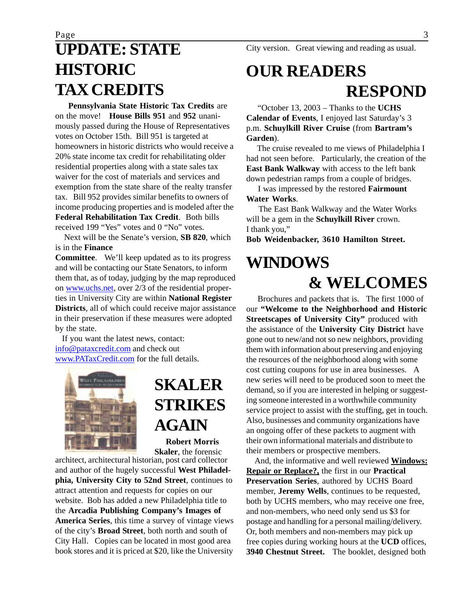# **UPDATE: STATE HISTORIC TAX CREDITS**

 **Pennsylvania State Historic Tax Credits** are on the move! **House Bills 951** and **952** unanimously passed during the House of Representatives votes on October 15th. Bill 951 is targeted at homeowners in historic districts who would receive a 20% state income tax credit for rehabilitating older residential properties along with a state sales tax waiver for the cost of materials and services and exemption from the state share of the realty transfer tax. Bill 952 provides similar benefits to owners of income producing properties and is modeled after the **Federal Rehabilitation Tax Credit**. Both bills received 199 "Yes" votes and 0 "No" votes.

 Next will be the Senate's version, **SB 820**, which is in the **Finance**

**Committee**. We'll keep updated as to its progress and will be contacting our State Senators, to inform them that, as of today, judging by the map reproduced on www.uchs.net, over 2/3 of the residential properties in University City are within **National Register Districts**, all of which could receive major assistance in their preservation if these measures were adopted by the state.

 If you want the latest news, contact: info@pataxcredit.com and check out www.PATaxCredit.com for the full details.



## **SKALER STRIKES AGAIN**

 **Robert Morris Skaler**, the forensic

architect, architectural historian, post card collector and author of the hugely successful **West Philadelphia, University City to 52nd Street**, continues to attract attention and requests for copies on our website. Bob has added a new Philadelphia title to the **Arcadia Publishing Company's Images of America Series**, this time a survey of vintage views of the city's **Broad Street**, both north and south of City Hall. Copies can be located in most good area book stores and it is priced at \$20, like the University

City version. Great viewing and reading as usual.

# **OUR READERS RESPOND**

 "October 13, 2003 – Thanks to the **UCHS Calendar of Events**, I enjoyed last Saturday's 3 p.m. **Schuylkill River Cruise** (from **Bartram's Garden**).

 The cruise revealed to me views of Philadelphia I had not seen before. Particularly, the creation of the **East Bank Walkway** with access to the left bank down pedestrian ramps from a couple of bridges.

I was impressed by the restored **Fairmount**

**Water Works**.

 The East Bank Walkway and the Water Works will be a gem in the **Schuylkill River** crown. I thank you,"

**Bob Weidenbacker, 3610 Hamilton Street.**

## **WINDOWS & WELCOMES**

 Brochures and packets that is. The first 1000 of our **"Welcome to the Neighborhood and Historic Streetscapes of University City"** produced with the assistance of the **University City District** have gone out to new/and not so new neighbors, providing them with information about preserving and enjoying the resources of the neighborhood along with some cost cutting coupons for use in area businesses. A new series will need to be produced soon to meet the demand, so if you are interested in helping or suggesting someone interested in a worthwhile community service project to assist with the stuffing, get in touch. Also, businesses and community organizations have an ongoing offer of these packets to augment with their own informational materials and distribute to their members or prospective members.

 And, the informative and well reviewed **Windows: Repair or Replace?,** the first in our **Practical Preservation Series**, authored by UCHS Board member, **Jeremy Wells**, continues to be requested, both by UCHS members, who may receive one free, and non-members, who need only send us \$3 for postage and handling for a personal mailing/delivery. Or, both members and non-members may pick up free copies during working hours at the **UCD** offices, **3940 Chestnut Street.** The booklet, designed both